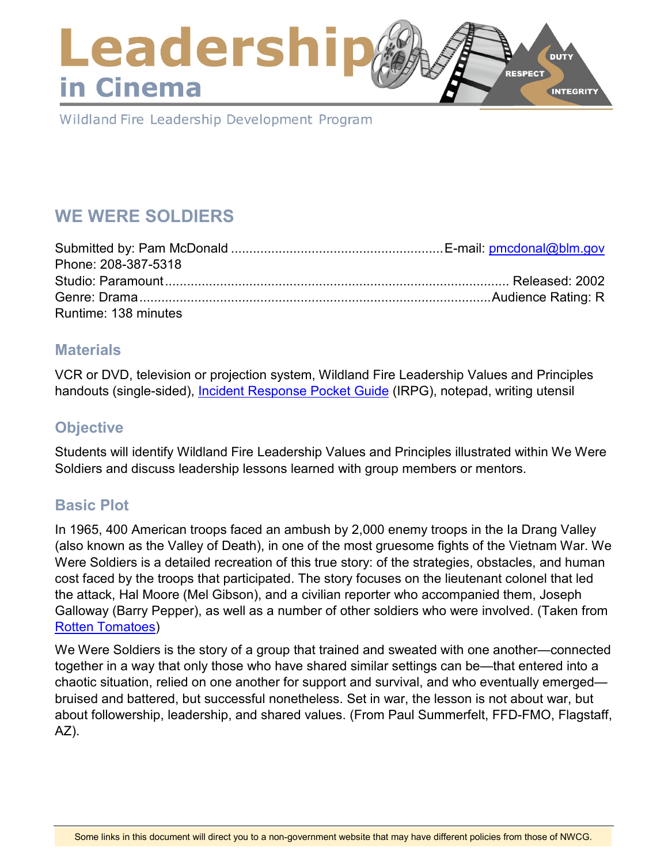# Leadershi **DUTY RESPECT** in Cinema **INTEGRITY**

Wildland Fire Leadership Development Program

# **WE WERE SOLDIERS**

| Phone: 208-387-5318  |  |
|----------------------|--|
|                      |  |
|                      |  |
| Runtime: 138 minutes |  |

### **Materials**

VCR or DVD, television or projection system, Wildland Fire Leadership Values and Principles handouts (single-sided), [Incident Response Pocket Guide](https://www.nwcg.gov/publications/461) (IRPG), notepad, writing utensil

# **Objective**

Students will identify Wildland Fire Leadership Values and Principles illustrated within We Were Soldiers and discuss leadership lessons learned with group members or mentors.

# **Basic Plot**

In 1965, 400 American troops faced an ambush by 2,000 enemy troops in the Ia Drang Valley (also known as the Valley of Death), in one of the most gruesome fights of the Vietnam War. We Were Soldiers is a detailed recreation of this true story: of the strategies, obstacles, and human cost faced by the troops that participated. The story focuses on the lieutenant colonel that led the attack, Hal Moore (Mel Gibson), and a civilian reporter who accompanied them, Joseph Galloway (Barry Pepper), as well as a number of other soldiers who were involved. (Taken from [Rotten Tomatoes\)](https://www.rottentomatoes.com/)

We Were Soldiers is the story of a group that trained and sweated with one another—connected together in a way that only those who have shared similar settings can be—that entered into a chaotic situation, relied on one another for support and survival, and who eventually emerged bruised and battered, but successful nonetheless. Set in war, the lesson is not about war, but about followership, leadership, and shared values. (From Paul Summerfelt, FFD-FMO, Flagstaff, AZ).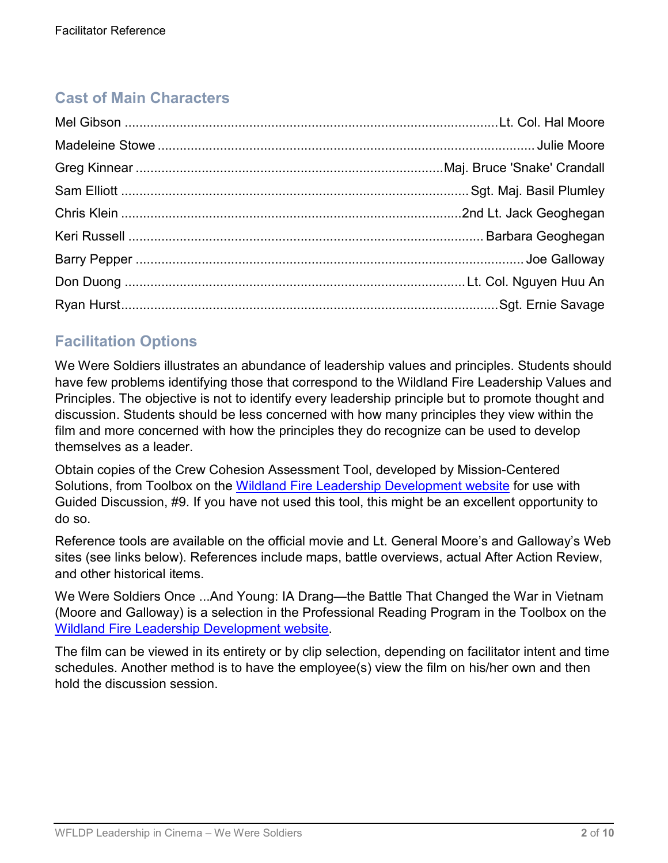# **Cast of Main Characters**

# **Facilitation Options**

We Were Soldiers illustrates an abundance of leadership values and principles. Students should have few problems identifying those that correspond to the Wildland Fire Leadership Values and Principles. The objective is not to identify every leadership principle but to promote thought and discussion. Students should be less concerned with how many principles they view within the film and more concerned with how the principles they do recognize can be used to develop themselves as a leader.

Obtain copies of the Crew Cohesion Assessment Tool, developed by Mission-Centered Solutions, from Toolbox on the [Wildland Fire Leadership Development website](https://www.fireleadership.gov/) for use with Guided Discussion, #9. If you have not used this tool, this might be an excellent opportunity to do so.

Reference tools are available on the official movie and Lt. General Moore's and Galloway's Web sites (see links below). References include maps, battle overviews, actual After Action Review, and other historical items.

We Were Soldiers Once ...And Young: IA Drang—the Battle That Changed the War in Vietnam (Moore and Galloway) is a selection in the Professional Reading Program in the Toolbox on the [Wildland Fire Leadership Development website.](https://www.fireleadership.gov/)

The film can be viewed in its entirety or by clip selection, depending on facilitator intent and time schedules. Another method is to have the employee(s) view the film on his/her own and then hold the discussion session.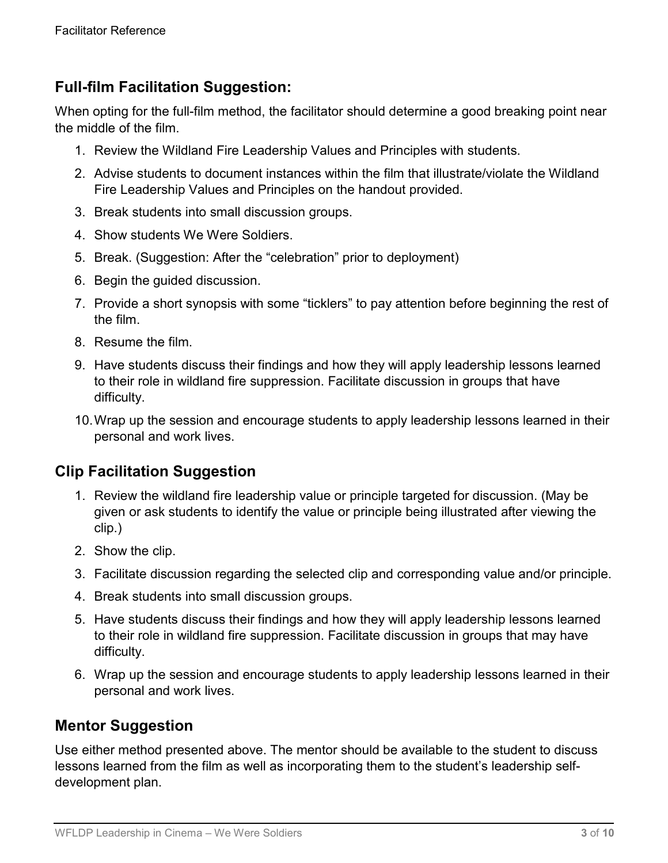# **Full-film Facilitation Suggestion:**

When opting for the full-film method, the facilitator should determine a good breaking point near the middle of the film.

- 1. Review the Wildland Fire Leadership Values and Principles with students.
- 2. Advise students to document instances within the film that illustrate/violate the Wildland Fire Leadership Values and Principles on the handout provided.
- 3. Break students into small discussion groups.
- 4. Show students We Were Soldiers.
- 5. Break. (Suggestion: After the "celebration" prior to deployment)
- 6. Begin the guided discussion.
- 7. Provide a short synopsis with some "ticklers" to pay attention before beginning the rest of the film.
- 8. Resume the film.
- 9. Have students discuss their findings and how they will apply leadership lessons learned to their role in wildland fire suppression. Facilitate discussion in groups that have difficulty.
- 10.Wrap up the session and encourage students to apply leadership lessons learned in their personal and work lives.

# **Clip Facilitation Suggestion**

- 1. Review the wildland fire leadership value or principle targeted for discussion. (May be given or ask students to identify the value or principle being illustrated after viewing the clip.)
- 2. Show the clip.
- 3. Facilitate discussion regarding the selected clip and corresponding value and/or principle.
- 4. Break students into small discussion groups.
- 5. Have students discuss their findings and how they will apply leadership lessons learned to their role in wildland fire suppression. Facilitate discussion in groups that may have difficulty.
- 6. Wrap up the session and encourage students to apply leadership lessons learned in their personal and work lives.

### **Mentor Suggestion**

Use either method presented above. The mentor should be available to the student to discuss lessons learned from the film as well as incorporating them to the student's leadership selfdevelopment plan.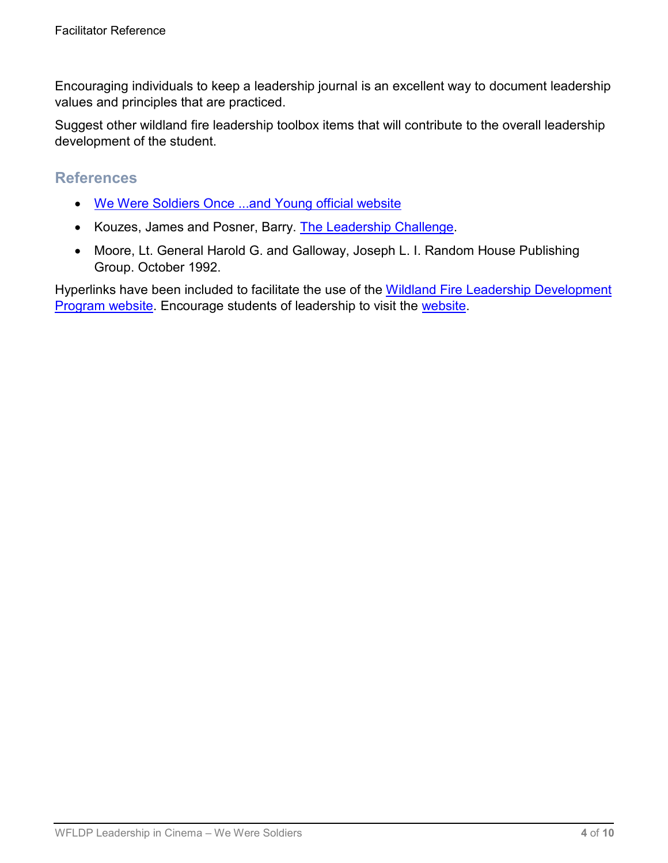Encouraging individuals to keep a leadership journal is an excellent way to document leadership values and principles that are practiced.

Suggest other wildland fire leadership toolbox items that will contribute to the overall leadership development of the student.

### **References**

- [We Were Soldiers Once ...and Young official website](http://www.lzxray.com/)
- Kouzes, James and Posner, Barry. [The Leadership Challenge.](http://www.leadershipchallenge.com/home.aspx)
- Moore, Lt. General Harold G. and Galloway, Joseph L. I. Random House Publishing Group. October 1992.

Hyperlinks have been included to facilitate the use of the [Wildland Fire Leadership Development](https://www.fireleadership.gov/)  [Program website.](https://www.fireleadership.gov/) Encourage students of leadership to visit the [website.](https://www.fireleadership.gov/)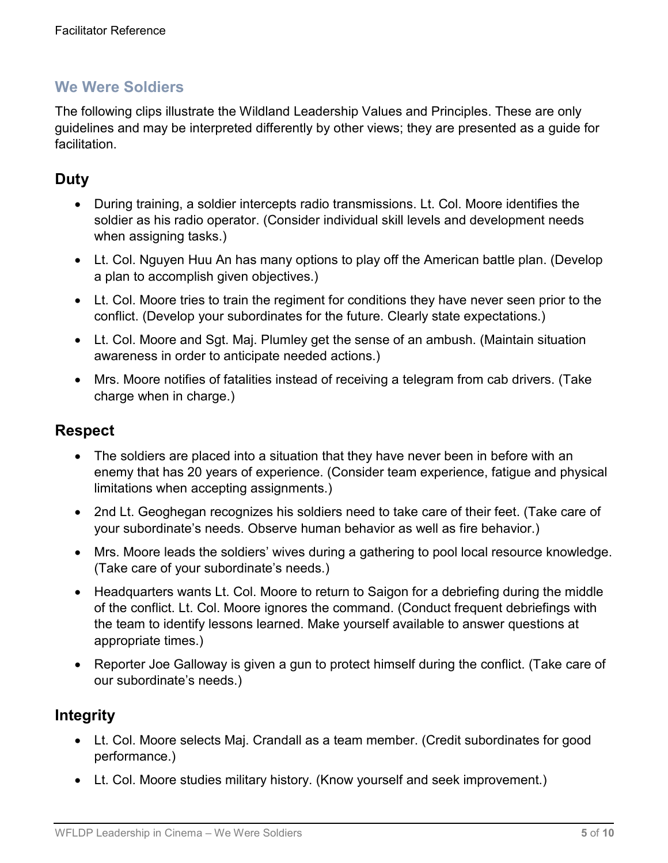The following clips illustrate the Wildland Leadership Values and Principles. These are only guidelines and may be interpreted differently by other views; they are presented as a guide for facilitation.

# **Duty**

- During training, a soldier intercepts radio transmissions. Lt. Col. Moore identifies the soldier as his radio operator. (Consider individual skill levels and development needs when assigning tasks.)
- Lt. Col. Nguyen Huu An has many options to play off the American battle plan. (Develop a plan to accomplish given objectives.)
- Lt. Col. Moore tries to train the regiment for conditions they have never seen prior to the conflict. (Develop your subordinates for the future. Clearly state expectations.)
- Lt. Col. Moore and Sgt. Maj. Plumley get the sense of an ambush. (Maintain situation awareness in order to anticipate needed actions.)
- Mrs. Moore notifies of fatalities instead of receiving a telegram from cab drivers. (Take charge when in charge.)

### **Respect**

- The soldiers are placed into a situation that they have never been in before with an enemy that has 20 years of experience. (Consider team experience, fatigue and physical limitations when accepting assignments.)
- 2nd Lt. Geoghegan recognizes his soldiers need to take care of their feet. (Take care of your subordinate's needs. Observe human behavior as well as fire behavior.)
- Mrs. Moore leads the soldiers' wives during a gathering to pool local resource knowledge. (Take care of your subordinate's needs.)
- Headquarters wants Lt. Col. Moore to return to Saigon for a debriefing during the middle of the conflict. Lt. Col. Moore ignores the command. (Conduct frequent debriefings with the team to identify lessons learned. Make yourself available to answer questions at appropriate times.)
- Reporter Joe Galloway is given a gun to protect himself during the conflict. (Take care of our subordinate's needs.)

### **Integrity**

- Lt. Col. Moore selects Maj. Crandall as a team member. (Credit subordinates for good performance.)
- Lt. Col. Moore studies military history. (Know yourself and seek improvement.)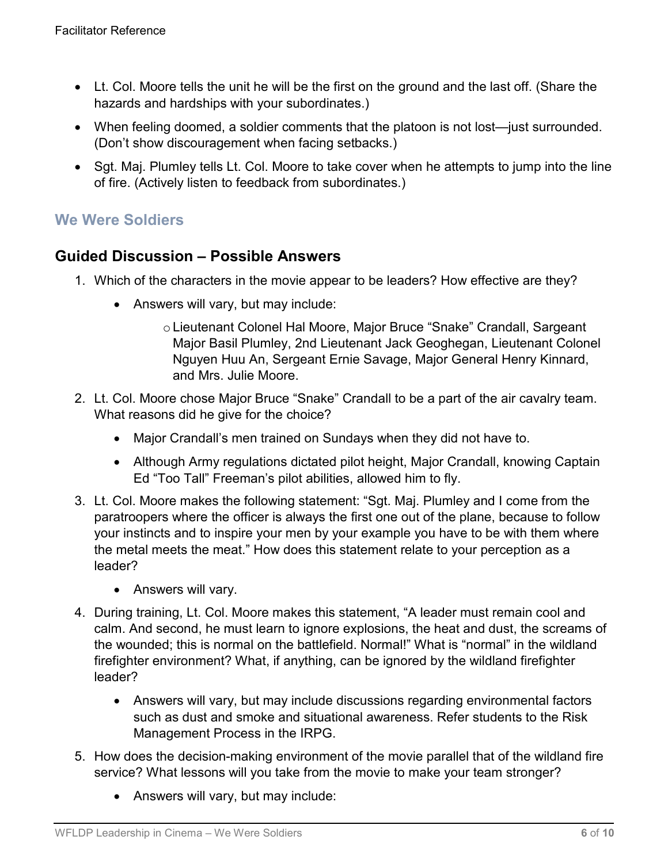- Lt. Col. Moore tells the unit he will be the first on the ground and the last off. (Share the hazards and hardships with your subordinates.)
- When feeling doomed, a soldier comments that the platoon is not lost—just surrounded. (Don't show discouragement when facing setbacks.)
- Sgt. Maj. Plumley tells Lt. Col. Moore to take cover when he attempts to jump into the line of fire. (Actively listen to feedback from subordinates.)

## **Guided Discussion – Possible Answers**

- 1. Which of the characters in the movie appear to be leaders? How effective are they?
	- Answers will vary, but may include:
		- oLieutenant Colonel Hal Moore, Major Bruce "Snake" Crandall, Sargeant Major Basil Plumley, 2nd Lieutenant Jack Geoghegan, Lieutenant Colonel Nguyen Huu An, Sergeant Ernie Savage, Major General Henry Kinnard, and Mrs. Julie Moore.
- 2. Lt. Col. Moore chose Major Bruce "Snake" Crandall to be a part of the air cavalry team. What reasons did he give for the choice?
	- Major Crandall's men trained on Sundays when they did not have to.
	- Although Army regulations dictated pilot height, Major Crandall, knowing Captain Ed "Too Tall" Freeman's pilot abilities, allowed him to fly.
- 3. Lt. Col. Moore makes the following statement: "Sgt. Maj. Plumley and I come from the paratroopers where the officer is always the first one out of the plane, because to follow your instincts and to inspire your men by your example you have to be with them where the metal meets the meat." How does this statement relate to your perception as a leader?
	- Answers will vary.
- 4. During training, Lt. Col. Moore makes this statement, "A leader must remain cool and calm. And second, he must learn to ignore explosions, the heat and dust, the screams of the wounded; this is normal on the battlefield. Normal!" What is "normal" in the wildland firefighter environment? What, if anything, can be ignored by the wildland firefighter leader?
	- Answers will vary, but may include discussions regarding environmental factors such as dust and smoke and situational awareness. Refer students to the Risk Management Process in the IRPG.
- 5. How does the decision-making environment of the movie parallel that of the wildland fire service? What lessons will you take from the movie to make your team stronger?
	- Answers will vary, but may include: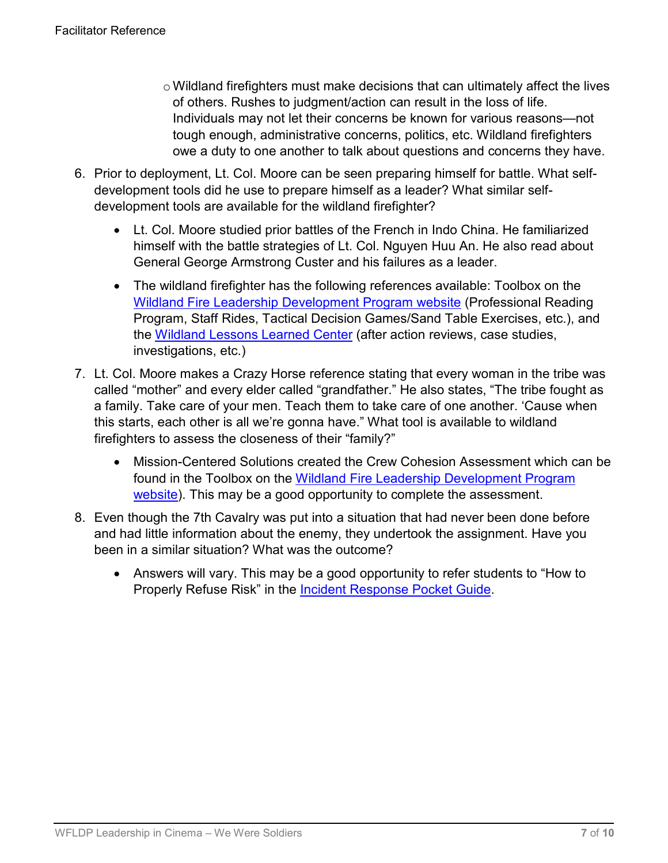- $\circ$  Wildland firefighters must make decisions that can ultimately affect the lives of others. Rushes to judgment/action can result in the loss of life. Individuals may not let their concerns be known for various reasons—not tough enough, administrative concerns, politics, etc. Wildland firefighters owe a duty to one another to talk about questions and concerns they have.
- 6. Prior to deployment, Lt. Col. Moore can be seen preparing himself for battle. What selfdevelopment tools did he use to prepare himself as a leader? What similar selfdevelopment tools are available for the wildland firefighter?
	- Lt. Col. Moore studied prior battles of the French in Indo China. He familiarized himself with the battle strategies of Lt. Col. Nguyen Huu An. He also read about General George Armstrong Custer and his failures as a leader.
	- The wildland firefighter has the following references available: Toolbox on the [Wildland Fire Leadership Development Program website](https://www.fireleadership.gov/) (Professional Reading Program, Staff Rides, Tactical Decision Games/Sand Table Exercises, etc.), and the [Wildland Lessons Learned Center](https://www.wildfirelessons.net/home) (after action reviews, case studies, investigations, etc.)
- 7. Lt. Col. Moore makes a Crazy Horse reference stating that every woman in the tribe was called "mother" and every elder called "grandfather." He also states, "The tribe fought as a family. Take care of your men. Teach them to take care of one another. 'Cause when this starts, each other is all we're gonna have." What tool is available to wildland firefighters to assess the closeness of their "family?"
	- Mission-Centered Solutions created the Crew Cohesion Assessment which can be found in the Toolbox on the [Wildland Fire Leadership Development Program](https://www.fireleadership.gov/)  [website\)](https://www.fireleadership.gov/). This may be a good opportunity to complete the assessment.
- 8. Even though the 7th Cavalry was put into a situation that had never been done before and had little information about the enemy, they undertook the assignment. Have you been in a similar situation? What was the outcome?
	- Answers will vary. This may be a good opportunity to refer students to "How to Properly Refuse Risk" in the [Incident Response Pocket Guide.](https://www.nwcg.gov/publications/461)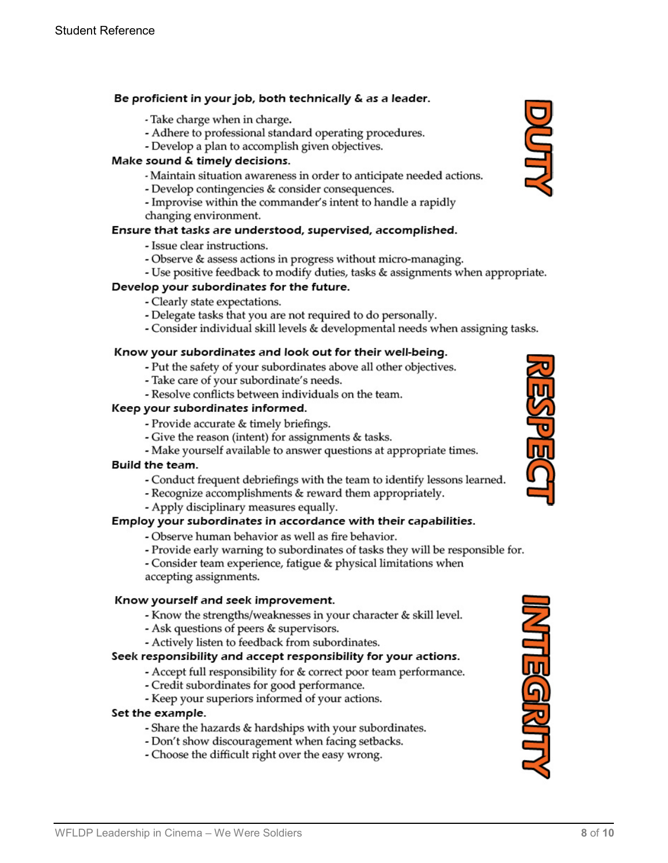#### Be proficient in your job, both technically & as a leader.

- Take charge when in charge.
- Adhere to professional standard operating procedures.
- Develop a plan to accomplish given objectives.

#### Make sound & timely decisions.

- Maintain situation awareness in order to anticipate needed actions.
- Develop contingencies & consider consequences.
- Improvise within the commander's intent to handle a rapidly changing environment.

#### Ensure that tasks are understood, supervised, accomplished.

- Issue clear instructions.
- Observe & assess actions in progress without micro-managing.
- Use positive feedback to modify duties, tasks & assignments when appropriate.

#### Develop your subordinates for the future.

- Clearly state expectations.
- Delegate tasks that you are not required to do personally.
- Consider individual skill levels & developmental needs when assigning tasks.

#### Know your subordinates and look out for their well-being.

- Put the safety of your subordinates above all other objectives.
- Take care of your subordinate's needs.
- Resolve conflicts between individuals on the team.

#### Keep your subordinates informed.

- Provide accurate & timely briefings.
- Give the reason (intent) for assignments & tasks.
- Make yourself available to answer questions at appropriate times.

#### Build the team.

- Conduct frequent debriefings with the team to identify lessons learned.
- Recognize accomplishments & reward them appropriately.
- Apply disciplinary measures equally.

#### Employ your subordinates in accordance with their capabilities.

- Observe human behavior as well as fire behavior.
- Provide early warning to subordinates of tasks they will be responsible for.
- Consider team experience, fatigue & physical limitations when accepting assignments.

#### Know yourself and seek improvement.

- Know the strengths/weaknesses in your character & skill level.
- Ask questions of peers & supervisors.
- Actively listen to feedback from subordinates.

#### Seek responsibility and accept responsibility for your actions.

- Accept full responsibility for & correct poor team performance.
- Credit subordinates for good performance.
- Keep your superiors informed of your actions.

#### Set the example.

- Share the hazards & hardships with your subordinates.
- Don't show discouragement when facing setbacks.
- Choose the difficult right over the easy wrong.





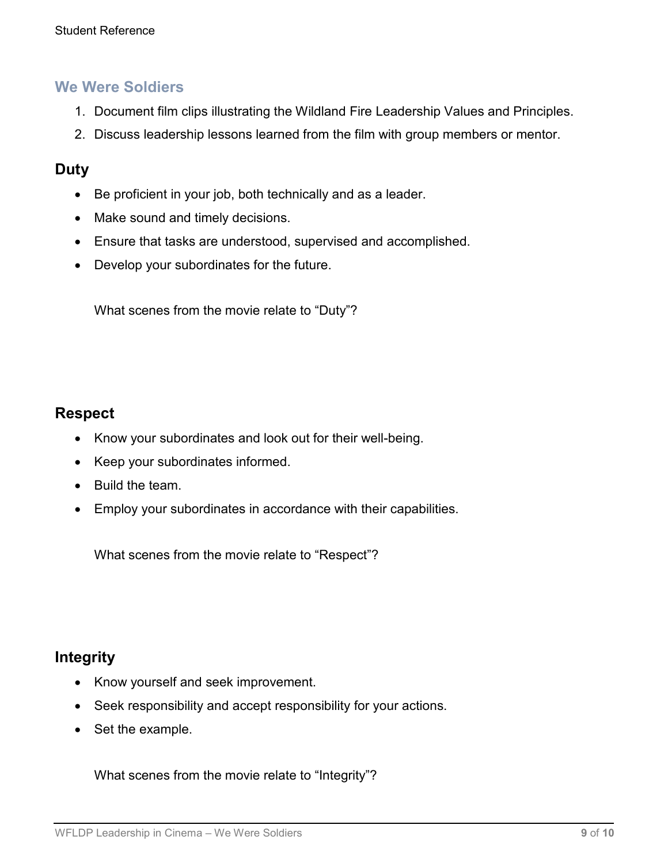- 1. Document film clips illustrating the Wildland Fire Leadership Values and Principles.
- 2. Discuss leadership lessons learned from the film with group members or mentor.

### **Duty**

- Be proficient in your job, both technically and as a leader.
- Make sound and timely decisions.
- Ensure that tasks are understood, supervised and accomplished.
- Develop your subordinates for the future.

What scenes from the movie relate to "Duty"?

## **Respect**

- Know your subordinates and look out for their well-being.
- Keep your subordinates informed.
- Build the team.
- Employ your subordinates in accordance with their capabilities.

What scenes from the movie relate to "Respect"?

### **Integrity**

- Know yourself and seek improvement.
- Seek responsibility and accept responsibility for your actions.
- Set the example.

What scenes from the movie relate to "Integrity"?